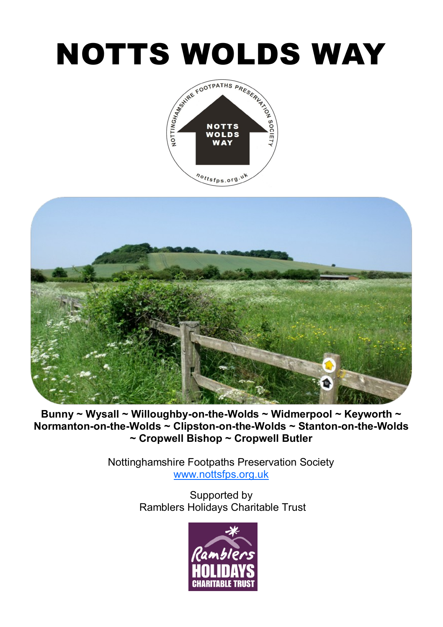## NOTTS WOLDS WAY





**Bunny ~ Wysall ~ Willoughby-on-the-Wolds ~ Widmerpool ~ Keyworth ~ Normanton-on-the-Wolds ~ Clipston-on-the-Wolds ~ Stanton-on-the-Wolds ~ Cropwell Bishop ~ Cropwell Butler**

> Nottinghamshire Footpaths Preservation Society [www.nottsfps.org.uk](http://www.nottsfps.org.uk)

> > Supported by Ramblers Holidays Charitable Trust